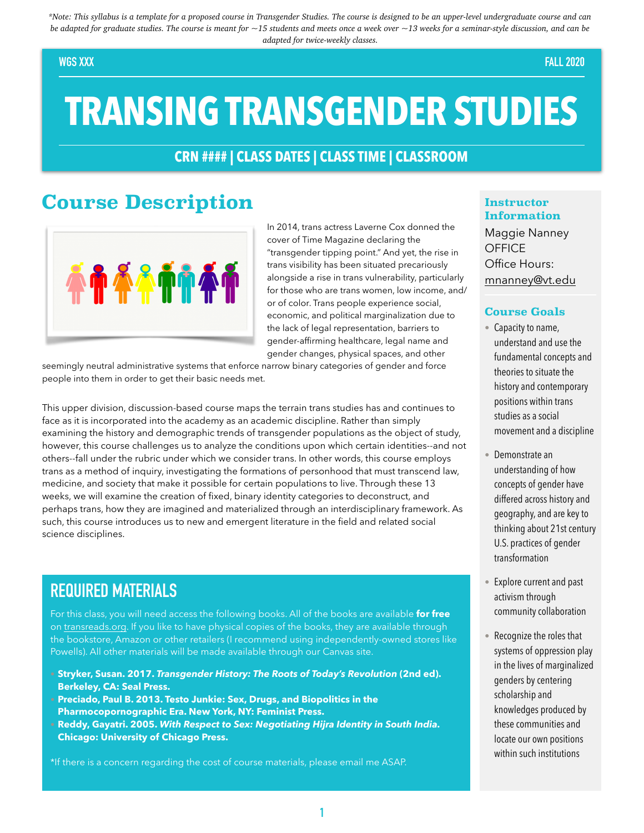*\*Note: This syllabus is a template for a proposed course in Transgender Studies. The course is designed to be an upper-level undergraduate course and can be adapted for graduate studies. The course is meant for ~15 students and meets once a week over ~13 weeks for a seminar-style discussion, and can be adapted for twice-weekly classes.*

#### **WGS XXX FALL 2020**

# **TRANSING TRANSGENDER STUDIES**

#### **CRN #### | CLASS DATES | CLASS TIME | CLASSROOM**

### **Course Description**



In 2014, trans actress Laverne Cox donned the cover of Time Magazine declaring the "transgender tipping point." And yet, the rise in trans visibility has been situated precariously alongside a rise in trans vulnerability, particularly for those who are trans women, low income, and/ or of color. Trans people experience social, economic, and political marginalization due to the lack of legal representation, barriers to gender-affirming healthcare, legal name and gender changes, physical spaces, and other

seemingly neutral administrative systems that enforce narrow binary categories of gender and force people into them in order to get their basic needs met.

This upper division, discussion-based course maps the terrain trans studies has and continues to face as it is incorporated into the academy as an academic discipline. Rather than simply examining the history and demographic trends of transgender populations as the object of study, however, this course challenges us to analyze the conditions upon which certain identities--and not others--fall under the rubric under which we consider trans. In other words, this course employs trans as a method of inquiry, investigating the formations of personhood that must transcend law, medicine, and society that make it possible for certain populations to live. Through these 13 weeks, we will examine the creation of fixed, binary identity categories to deconstruct, and perhaps trans, how they are imagined and materialized through an interdisciplinary framework. As such, this course introduces us to new and emergent literature in the field and related social science disciplines.

### **REQUIRED MATERIALS**

For this class, you will need access the following books. All of the books are available **for free**  on [transreads.org](http://transreads.org). If you like to have physical copies of the books, they are available through the bookstore, Amazon or other retailers (I recommend using independently-owned stores like Powells). All other materials will be made available through our Canvas site.

- **• Stryker, Susan. 2017.** *Transgender History: The Roots of Today's Revolution* **(2nd ed). Berkeley, CA: Seal Press.**
- **• Preciado, Paul B. 2013. Testo Junkie: Sex, Drugs, and Biopolitics in the Pharmocopornographic Era. New York, NY: Feminist Press. • Reddy, Gayatri. 2005.** *With Respect to Sex: Negotiating Hijra Identity in South India.*  **Chicago: University of Chicago Press.**

\*If there is a concern regarding the cost of course materials, please email me ASAP.

#### **Instructor Information**

Maggie Nanney **OFFICE** Office Hours: mnanney@vt.edu

#### **Course Goals**

- Capacity to name, understand and use the fundamental concepts and theories to situate the history and contemporary positions within trans studies as a social movement and a discipline
- Demonstrate an understanding of how concepts of gender have differed across history and geography, and are key to thinking about 21st century U.S. practices of gender transformation
- Explore current and past activism through community collaboration
- Recognize the roles that systems of oppression play in the lives of marginalized genders by centering scholarship and knowledges produced by these communities and locate our own positions within such institutions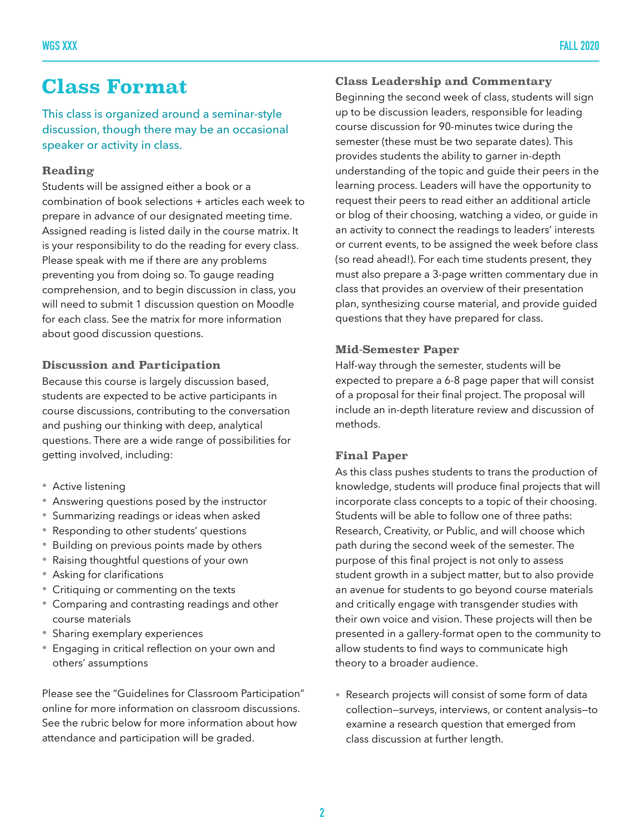### **Class Format**

This class is organized around a seminar-style discussion, though there may be an occasional speaker or activity in class.

#### **Reading**

Students will be assigned either a book or a combination of book selections + articles each week to prepare in advance of our designated meeting time. Assigned reading is listed daily in the course matrix. It is your responsibility to do the reading for every class. Please speak with me if there are any problems preventing you from doing so. To gauge reading comprehension, and to begin discussion in class, you will need to submit 1 discussion question on Moodle for each class. See the matrix for more information about good discussion questions.

#### **Discussion and Participation**

Because this course is largely discussion based, students are expected to be active participants in course discussions, contributing to the conversation and pushing our thinking with deep, analytical questions. There are a wide range of possibilities for getting involved, including:

- Active listening
- Answering questions posed by the instructor
- Summarizing readings or ideas when asked
- Responding to other students' questions
- Building on previous points made by others
- Raising thoughtful questions of your own
- Asking for clarifications
- Critiquing or commenting on the texts
- Comparing and contrasting readings and other course materials
- Sharing exemplary experiences
- Engaging in critical reflection on your own and others' assumptions

Please see the "Guidelines for Classroom Participation" online for more information on classroom discussions. See the rubric below for more information about how attendance and participation will be graded.

#### **Class Leadership and Commentary**

Beginning the second week of class, students will sign up to be discussion leaders, responsible for leading course discussion for 90-minutes twice during the semester (these must be two separate dates). This provides students the ability to garner in-depth understanding of the topic and guide their peers in the learning process. Leaders will have the opportunity to request their peers to read either an additional article or blog of their choosing, watching a video, or guide in an activity to connect the readings to leaders' interests or current events, to be assigned the week before class (so read ahead!). For each time students present, they must also prepare a 3-page written commentary due in class that provides an overview of their presentation plan, synthesizing course material, and provide guided questions that they have prepared for class.

#### **Mid-Semester Paper**

Half-way through the semester, students will be expected to prepare a 6-8 page paper that will consist of a proposal for their final project. The proposal will include an in-depth literature review and discussion of methods.

#### **Final Paper**

As this class pushes students to trans the production of knowledge, students will produce final projects that will incorporate class concepts to a topic of their choosing. Students will be able to follow one of three paths: Research, Creativity, or Public, and will choose which path during the second week of the semester. The purpose of this final project is not only to assess student growth in a subject matter, but to also provide an avenue for students to go beyond course materials and critically engage with transgender studies with their own voice and vision. These projects will then be presented in a gallery-format open to the community to allow students to find ways to communicate high theory to a broader audience.

• Research projects will consist of some form of data collection—surveys, interviews, or content analysis—to examine a research question that emerged from class discussion at further length.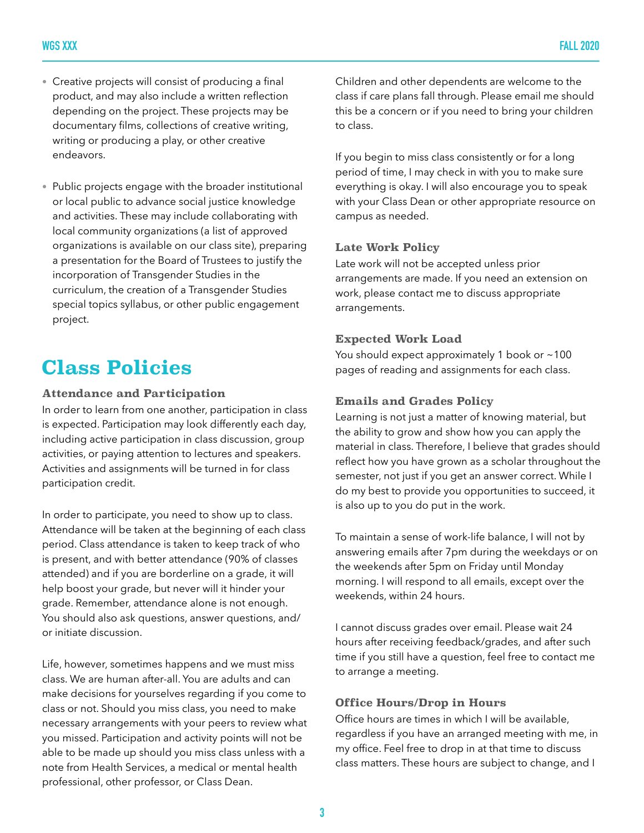- Creative projects will consist of producing a final product, and may also include a written reflection depending on the project. These projects may be documentary films, collections of creative writing, writing or producing a play, or other creative endeavors.
- Public projects engage with the broader institutional or local public to advance social justice knowledge and activities. These may include collaborating with local community organizations (a list of approved organizations is available on our class site), preparing a presentation for the Board of Trustees to justify the incorporation of Transgender Studies in the curriculum, the creation of a Transgender Studies special topics syllabus, or other public engagement project.

## **Class Policies**

#### **Attendance and Participation**

In order to learn from one another, participation in class is expected. Participation may look differently each day, including active participation in class discussion, group activities, or paying attention to lectures and speakers. Activities and assignments will be turned in for class participation credit.

In order to participate, you need to show up to class. Attendance will be taken at the beginning of each class period. Class attendance is taken to keep track of who is present, and with better attendance (90% of classes attended) and if you are borderline on a grade, it will help boost your grade, but never will it hinder your grade. Remember, attendance alone is not enough. You should also ask questions, answer questions, and/ or initiate discussion.

Life, however, sometimes happens and we must miss class. We are human after-all. You are adults and can make decisions for yourselves regarding if you come to class or not. Should you miss class, you need to make necessary arrangements with your peers to review what you missed. Participation and activity points will not be able to be made up should you miss class unless with a note from Health Services, a medical or mental health professional, other professor, or Class Dean.

Children and other dependents are welcome to the class if care plans fall through. Please email me should this be a concern or if you need to bring your children to class.

If you begin to miss class consistently or for a long period of time, I may check in with you to make sure everything is okay. I will also encourage you to speak with your Class Dean or other appropriate resource on campus as needed.

#### **Late Work Policy**

Late work will not be accepted unless prior arrangements are made. If you need an extension on work, please contact me to discuss appropriate arrangements.

#### **Expected Work Load**

You should expect approximately 1 book or ~100 pages of reading and assignments for each class.

#### **Emails and Grades Policy**

Learning is not just a matter of knowing material, but the ability to grow and show how you can apply the material in class. Therefore, I believe that grades should reflect how you have grown as a scholar throughout the semester, not just if you get an answer correct. While I do my best to provide you opportunities to succeed, it is also up to you do put in the work.

To maintain a sense of work-life balance, I will not by answering emails after 7pm during the weekdays or on the weekends after 5pm on Friday until Monday morning. I will respond to all emails, except over the weekends, within 24 hours.

I cannot discuss grades over email. Please wait 24 hours after receiving feedback/grades, and after such time if you still have a question, feel free to contact me to arrange a meeting.

#### **Office Hours/Drop in Hours**

Office hours are times in which I will be available, regardless if you have an arranged meeting with me, in my office. Feel free to drop in at that time to discuss class matters. These hours are subject to change, and I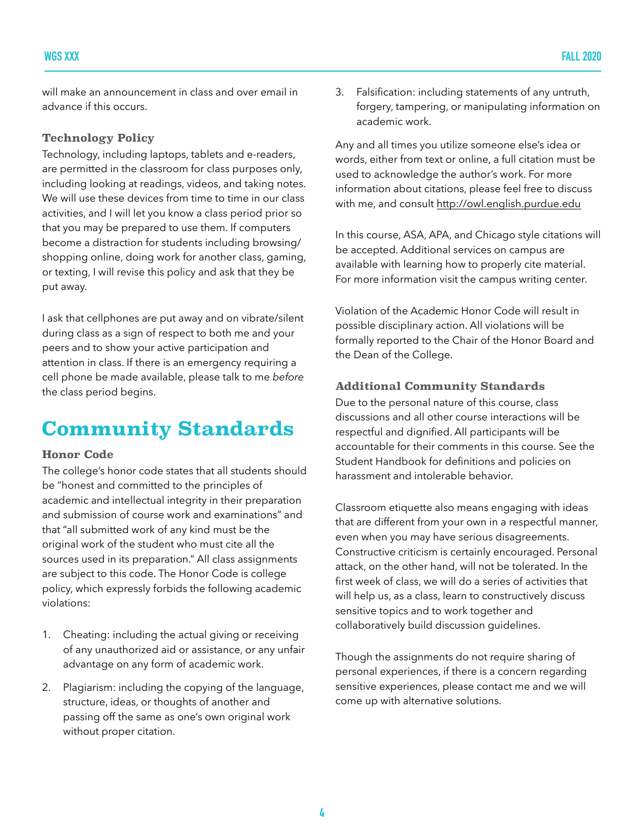will make an announcement in class and over email in advance if this occurs.

#### **Technology Policy**

Technology, including laptops, tablets and e-readers, are permitted in the classroom for class purposes only, including looking at readings, videos, and taking notes. We will use these devices from time to time in our class activities, and I will let you know a class period prior so that you may be prepared to use them. If computers become a distraction for students including browsing/ shopping online, doing work for another class, gaming, or texting, I will revise this policy and ask that they be put away.

I ask that cellphones are put away and on vibrate/silent during class as a sign of respect to both me and your peers and to show your active participation and attention in class. If there is an emergency requiring a cell phone be made available, please talk to me *before*  the class period begins.

## **Community Standards**

#### **Honor Code**

The college's honor code states that all students should be "honest and committed to the principles of academic and intellectual integrity in their preparation and submission of course work and examinations" and that "all submitted work of any kind must be the original work of the student who must cite all the sources used in its preparation." All class assignments are subject to this code. The Honor Code is college policy, which expressly forbids the following academic violations:

- 1. Cheating: including the actual giving or receiving of any unauthorized aid or assistance, or any unfair advantage on any form of academic work.
- 2. Plagiarism: including the copying of the language, structure, ideas, or thoughts of another and passing off the same as one's own original work without proper citation.

3. Falsification: including statements of any untruth, forgery, tampering, or manipulating information on academic work.

Any and all times you utilize someone else's idea or words, either from text or online, a full citation must be used to acknowledge the author's work. For more information about citations, please feel free to discuss with me, and consult <http://owl.english.purdue.edu>

In this course, ASA, APA, and Chicago style citations will be accepted. Additional services on campus are available with learning how to properly cite material. For more information visit the campus writing center.

Violation of the Academic Honor Code will result in possible disciplinary action. All violations will be formally reported to the Chair of the Honor Board and the Dean of the College.

#### **Additional Community Standards**

Due to the personal nature of this course, class discussions and all other course interactions will be respectful and dignified. All participants will be accountable for their comments in this course. See the Student Handbook for definitions and policies on harassment and intolerable behavior.

Classroom etiquette also means engaging with ideas that are different from your own in a respectful manner, even when you may have serious disagreements. Constructive criticism is certainly encouraged. Personal attack, on the other hand, will not be tolerated. In the first week of class, we will do a series of activities that will help us, as a class, learn to constructively discuss sensitive topics and to work together and collaboratively build discussion guidelines.

Though the assignments do not require sharing of personal experiences, if there is a concern regarding sensitive experiences, please contact me and we will come up with alternative solutions.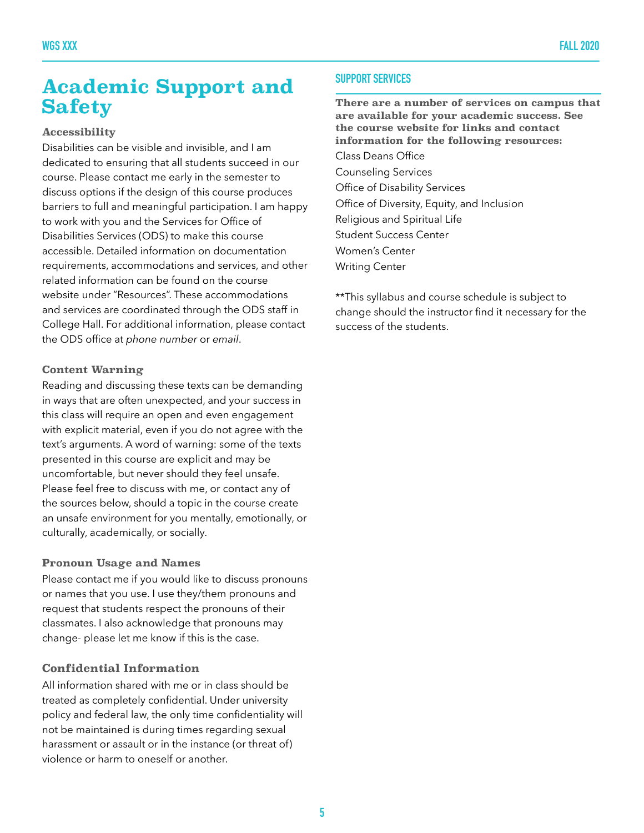### **Academic Support and Safety**

#### **Accessibility**

Disabilities can be visible and invisible, and I am dedicated to ensuring that all students succeed in our course. Please contact me early in the semester to discuss options if the design of this course produces barriers to full and meaningful participation. I am happy to work with you and the Services for Office of Disabilities Services (ODS) to make this course accessible. Detailed information on documentation requirements, accommodations and services, and other related information can be found on the course website under "Resources". These accommodations and services are coordinated through the ODS staff in College Hall. For additional information, please contact the ODS office at *phone number* or *email*.

#### **Content Warning**

Reading and discussing these texts can be demanding in ways that are often unexpected, and your success in this class will require an open and even engagement with explicit material, even if you do not agree with the text's arguments. A word of warning: some of the texts presented in this course are explicit and may be uncomfortable, but never should they feel unsafe. Please feel free to discuss with me, or contact any of the sources below, should a topic in the course create an unsafe environment for you mentally, emotionally, or culturally, academically, or socially.

#### **Pronoun Usage and Names**

Please contact me if you would like to discuss pronouns or names that you use. I use they/them pronouns and request that students respect the pronouns of their classmates. I also acknowledge that pronouns may change- please let me know if this is the case.

#### **Confidential Information**

All information shared with me or in class should be treated as completely confidential. Under university policy and federal law, the only time confidentiality will not be maintained is during times regarding sexual harassment or assault or in the instance (or threat of) violence or harm to oneself or another.

#### **SUPPORT SERVICES**

**There are a number of services on campus that are available for your academic success. See the course website for links and contact information for the following resources:** 

Class Deans Office Counseling Services Office of Disability Services Office of Diversity, Equity, and Inclusion Religious and Spiritual Life Student Success Center Women's Center

Writing Center

\*\*This syllabus and course schedule is subject to change should the instructor find it necessary for the success of the students.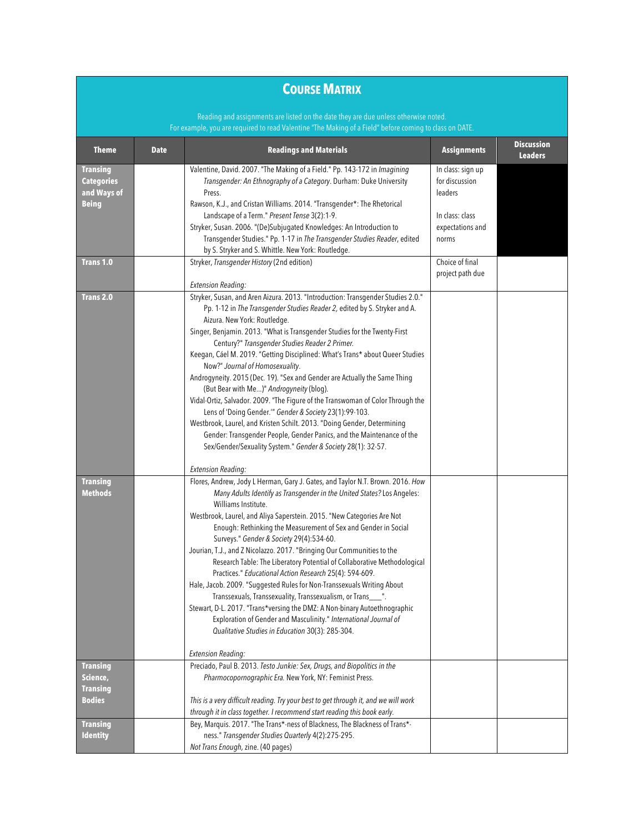#### **COURSE MATRIX**

Reading and assignments are listed on the date they are due unless otherwise noted. For example, you are required to read Valentine "The Making of a Field" before coming to class on DATE.

| <b>Theme</b>      | <b>Date</b> | <b>Readings and Materials</b>                                                                 | <b>Assignments</b> | <b>Discussion</b><br><b>Leaders</b> |
|-------------------|-------------|-----------------------------------------------------------------------------------------------|--------------------|-------------------------------------|
| <b>Transing</b>   |             | Valentine, David. 2007. "The Making of a Field." Pp. 143-172 in Imagining                     | In class: sign up  |                                     |
| <b>Categories</b> |             | Transgender: An Ethnography of a Category. Durham: Duke University                            | for discussion     |                                     |
| and Ways of       |             | Press.                                                                                        | leaders            |                                     |
| <b>Being</b>      |             | Rawson, K.J., and Cristan Williams. 2014. "Transgender*: The Rhetorical                       |                    |                                     |
|                   |             | Landscape of a Term." Present Tense 3(2):1-9.                                                 | In class: class    |                                     |
|                   |             | Stryker, Susan. 2006. "(De)Subjugated Knowledges: An Introduction to                          | expectations and   |                                     |
|                   |             | Transgender Studies." Pp. 1-17 in The Transgender Studies Reader, edited                      | norms              |                                     |
|                   |             | by S. Stryker and S. Whittle. New York: Routledge.                                            |                    |                                     |
| <b>Trans 1.0</b>  |             | Stryker, Transgender History (2nd edition)                                                    | Choice of final    |                                     |
|                   |             |                                                                                               | project path due   |                                     |
|                   |             | <b>Extension Reading:</b>                                                                     |                    |                                     |
| <b>Trans 2.0</b>  |             | Stryker, Susan, and Aren Aizura. 2013. "Introduction: Transgender Studies 2.0."               |                    |                                     |
|                   |             | Pp. 1-12 in The Transgender Studies Reader 2, edited by S. Stryker and A.                     |                    |                                     |
|                   |             | Aizura. New York: Routledge.                                                                  |                    |                                     |
|                   |             | Singer, Benjamin. 2013. "What is Transgender Studies for the Twenty-First                     |                    |                                     |
|                   |             | Century?" Transgender Studies Reader 2 Primer.                                                |                    |                                     |
|                   |             | Keegan, Cáel M. 2019. "Getting Disciplined: What's Trans* about Queer Studies                 |                    |                                     |
|                   |             | Now?" Journal of Homosexuality.                                                               |                    |                                     |
|                   |             | Androgyneity. 2015 (Dec. 19). "Sex and Gender are Actually the Same Thing                     |                    |                                     |
|                   |             | (But Bear with Me)" Androgyneity (blog).                                                      |                    |                                     |
|                   |             | Vidal-Ortiz, Salvador. 2009. "The Figure of the Transwoman of Color Through the               |                    |                                     |
|                   |             | Lens of 'Doing Gender.'" Gender & Society 23(1):99-103.                                       |                    |                                     |
|                   |             | Westbrook, Laurel, and Kristen Schilt. 2013. "Doing Gender, Determining                       |                    |                                     |
|                   |             | Gender: Transgender People, Gender Panics, and the Maintenance of the                         |                    |                                     |
|                   |             | Sex/Gender/Sexuality System." Gender & Society 28(1): 32-57.                                  |                    |                                     |
|                   |             | <b>Extension Reading:</b>                                                                     |                    |                                     |
| <b>Transing</b>   |             | Flores, Andrew, Jody L Herman, Gary J. Gates, and Taylor N.T. Brown. 2016. How                |                    |                                     |
| <b>Methods</b>    |             | Many Adults Identify as Transgender in the United States? Los Angeles:<br>Williams Institute. |                    |                                     |
|                   |             | Westbrook, Laurel, and Aliya Saperstein. 2015. "New Categories Are Not                        |                    |                                     |
|                   |             | Enough: Rethinking the Measurement of Sex and Gender in Social                                |                    |                                     |
|                   |             | Surveys." Gender & Society 29(4):534-60.                                                      |                    |                                     |
|                   |             | Jourian, T.J., and Z Nicolazzo. 2017. "Bringing Our Communities to the                        |                    |                                     |
|                   |             | Research Table: The Liberatory Potential of Collaborative Methodological                      |                    |                                     |
|                   |             | Practices." Educational Action Research 25(4): 594-609.                                       |                    |                                     |
|                   |             | Hale, Jacob. 2009. "Suggested Rules for Non-Transsexuals Writing About                        |                    |                                     |
|                   |             | Transsexuals, Transsexuality, Transsexualism, or Trans___".                                   |                    |                                     |
|                   |             | Stewart, D-L. 2017. "Trans*versing the DMZ: A Non-binary Autoethnographic                     |                    |                                     |
|                   |             | Exploration of Gender and Masculinity." International Journal of                              |                    |                                     |
|                   |             | Qualitative Studies in Education 30(3): 285-304.                                              |                    |                                     |
|                   |             | <b>Extension Reading:</b>                                                                     |                    |                                     |
| <b>Transing</b>   |             | Preciado, Paul B. 2013. Testo Junkie: Sex, Drugs, and Biopolitics in the                      |                    |                                     |
| Science,          |             | Pharmocopornographic Era. New York, NY: Feminist Press.                                       |                    |                                     |
| <b>Transing</b>   |             |                                                                                               |                    |                                     |
| <b>Bodies</b>     |             | This is a very difficult reading. Try your best to get through it, and we will work           |                    |                                     |
|                   |             | through it in class together. I recommend start reading this book early.                      |                    |                                     |
| <b>Transing</b>   |             | Bey, Marquis. 2017. "The Trans*-ness of Blackness, The Blackness of Trans*-                   |                    |                                     |
| <b>Identity</b>   |             | ness." Transgender Studies Quarterly 4(2):275-295.                                            |                    |                                     |
|                   |             | Not Trans Enough, zine. (40 pages)                                                            |                    |                                     |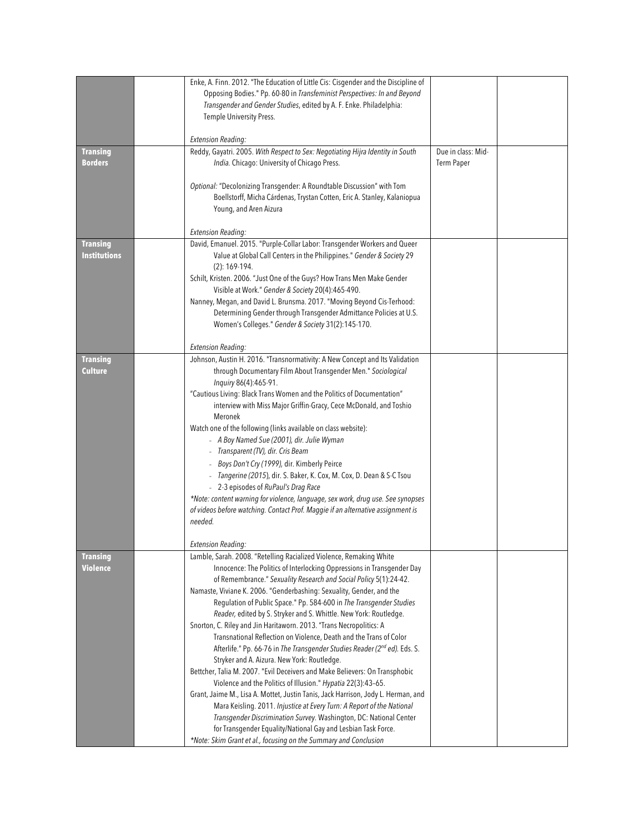|                                 | Enke, A. Finn. 2012. "The Education of Little Cis: Cisgender and the Discipline of                                           |                    |  |
|---------------------------------|------------------------------------------------------------------------------------------------------------------------------|--------------------|--|
|                                 | Opposing Bodies." Pp. 60-80 in Transfeminist Perspectives: In and Beyond                                                     |                    |  |
|                                 | Transgender and Gender Studies, edited by A. F. Enke. Philadelphia:                                                          |                    |  |
|                                 |                                                                                                                              |                    |  |
|                                 | Temple University Press.                                                                                                     |                    |  |
|                                 | <b>Extension Reading:</b>                                                                                                    |                    |  |
|                                 |                                                                                                                              | Due in class: Mid- |  |
| <b>Transing</b>                 | Reddy, Gayatri. 2005. With Respect to Sex: Negotiating Hijra Identity in South                                               |                    |  |
| <b>Borders</b>                  | India. Chicago: University of Chicago Press.                                                                                 | <b>Term Paper</b>  |  |
|                                 |                                                                                                                              |                    |  |
|                                 | Optional: "Decolonizing Transgender: A Roundtable Discussion" with Tom                                                       |                    |  |
|                                 | Boellstorff, Micha Cárdenas, Trystan Cotten, Eric A. Stanley, Kalaniopua                                                     |                    |  |
|                                 | Young, and Aren Aizura                                                                                                       |                    |  |
|                                 |                                                                                                                              |                    |  |
|                                 | <b>Extension Reading:</b><br>David, Emanuel. 2015. "Purple-Collar Labor: Transgender Workers and Queer                       |                    |  |
| <b>Transing</b><br>Institutions |                                                                                                                              |                    |  |
|                                 | Value at Global Call Centers in the Philippines." Gender & Society 29<br>$(2): 169-194.$                                     |                    |  |
|                                 |                                                                                                                              |                    |  |
|                                 | Schilt, Kristen. 2006. "Just One of the Guys? How Trans Men Make Gender<br>Visible at Work." Gender & Society 20(4):465-490. |                    |  |
|                                 |                                                                                                                              |                    |  |
|                                 | Nanney, Megan, and David L. Brunsma. 2017. "Moving Beyond Cis-Terhood:                                                       |                    |  |
|                                 | Determining Gender through Transgender Admittance Policies at U.S.                                                           |                    |  |
|                                 | Women's Colleges." Gender & Society 31(2):145-170.                                                                           |                    |  |
|                                 |                                                                                                                              |                    |  |
|                                 | <b>Extension Reading:</b><br>Johnson, Austin H. 2016. "Transnormativity: A New Concept and Its Validation                    |                    |  |
| <b>Transing</b><br>Culture      | through Documentary Film About Transgender Men." Sociological                                                                |                    |  |
|                                 | Inquiry 86(4):465-91.                                                                                                        |                    |  |
|                                 | "Cautious Living: Black Trans Women and the Politics of Documentation"                                                       |                    |  |
|                                 |                                                                                                                              |                    |  |
|                                 | interview with Miss Major Griffin-Gracy, Cece McDonald, and Toshio<br>Meronek                                                |                    |  |
|                                 |                                                                                                                              |                    |  |
|                                 | Watch one of the following (links available on class website):                                                               |                    |  |
|                                 | - A Boy Named Sue (2001), dir. Julie Wyman<br>- Transparent (TV), dir. Cris Beam                                             |                    |  |
|                                 |                                                                                                                              |                    |  |
|                                 | Boys Don't Cry (1999), dir. Kimberly Peirce                                                                                  |                    |  |
|                                 | - Tangerine (2015), dir. S. Baker, K. Cox, M. Cox, D. Dean & S-C Tsou                                                        |                    |  |
|                                 | - 2-3 episodes of RuPaul's Drag Race                                                                                         |                    |  |
|                                 | *Note: content warning for violence, language, sex work, drug use. See synopses                                              |                    |  |
|                                 | of videos before watching. Contact Prof. Maggie if an alternative assignment is<br>needed.                                   |                    |  |
|                                 |                                                                                                                              |                    |  |
|                                 | <b>Extension Reading:</b>                                                                                                    |                    |  |
| <b>Transing</b>                 | Lamble, Sarah. 2008. "Retelling Racialized Violence, Remaking White                                                          |                    |  |
| Violence                        | Innocence: The Politics of Interlocking Oppressions in Transgender Day                                                       |                    |  |
|                                 | of Remembrance." Sexuality Research and Social Policy 5(1):24-42.                                                            |                    |  |
|                                 | Namaste, Viviane K. 2006. "Genderbashing: Sexuality, Gender, and the                                                         |                    |  |
|                                 | Regulation of Public Space." Pp. 584-600 in The Transgender Studies                                                          |                    |  |
|                                 | Reader, edited by S. Stryker and S. Whittle. New York: Routledge.                                                            |                    |  |
|                                 | Snorton, C. Riley and Jin Haritaworn. 2013. "Trans Necropolitics: A                                                          |                    |  |
|                                 | Transnational Reflection on Violence, Death and the Trans of Color                                                           |                    |  |
|                                 | Afterlife." Pp. 66-76 in The Transgender Studies Reader (2nd ed). Eds. S.                                                    |                    |  |
|                                 | Stryker and A. Aizura. New York: Routledge.                                                                                  |                    |  |
|                                 | Bettcher, Talia M. 2007. "Evil Deceivers and Make Believers: On Transphobic                                                  |                    |  |
|                                 | Violence and the Politics of Illusion." Hypatia 22(3):43-65.                                                                 |                    |  |
|                                 | Grant, Jaime M., Lisa A. Mottet, Justin Tanis, Jack Harrison, Jody L. Herman, and                                            |                    |  |
|                                 | Mara Keisling. 2011. Injustice at Every Turn: A Report of the National                                                       |                    |  |
|                                 | Transgender Discrimination Survey. Washington, DC: National Center                                                           |                    |  |
|                                 | for Transgender Equality/National Gay and Lesbian Task Force.                                                                |                    |  |
|                                 | *Note: Skim Grant et al., focusing on the Summary and Conclusion                                                             |                    |  |
|                                 |                                                                                                                              |                    |  |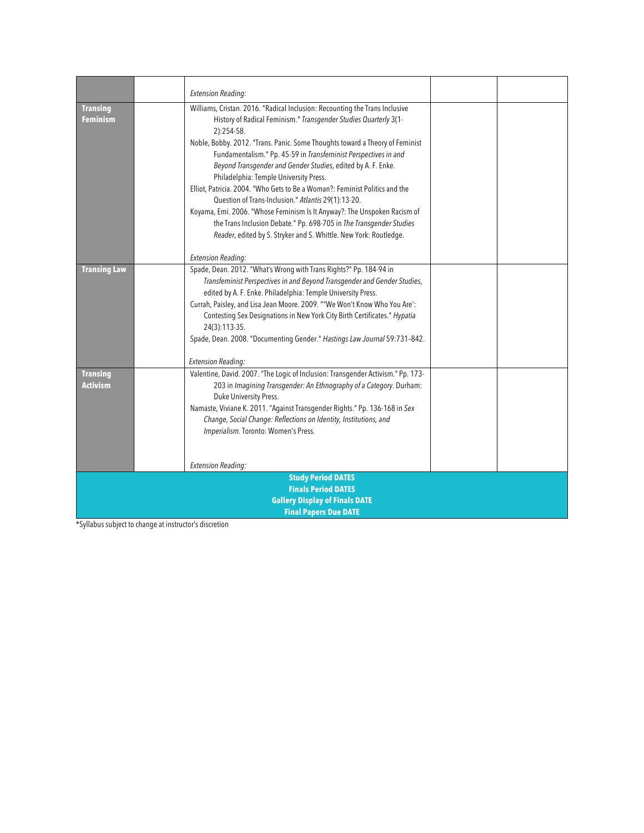|                                       | <b>Extension Reading:</b>                                                                                     |  |  |
|---------------------------------------|---------------------------------------------------------------------------------------------------------------|--|--|
| <b>Transing</b>                       | Williams, Cristan. 2016. "Radical Inclusion: Recounting the Trans Inclusive                                   |  |  |
| Feminism                              | History of Radical Feminism." Transgender Studies Quarterly 3(1-                                              |  |  |
|                                       | 2):254-58.                                                                                                    |  |  |
|                                       | Noble, Bobby. 2012. "Trans. Panic. Some Thoughts toward a Theory of Feminist                                  |  |  |
|                                       | Fundamentalism." Pp. 45-59 in Transfeminist Perspectives in and                                               |  |  |
|                                       | Beyond Transgender and Gender Studies, edited by A. F. Enke.                                                  |  |  |
|                                       | Philadelphia: Temple University Press.                                                                        |  |  |
|                                       | Elliot, Patricia. 2004. "Who Gets to Be a Woman?: Feminist Politics and the                                   |  |  |
|                                       | Question of Trans-Inclusion." Atlantis 29(1):13-20.                                                           |  |  |
|                                       | Koyama, Emi. 2006. "Whose Feminism Is It Anyway?: The Unspoken Racism of                                      |  |  |
|                                       | the Trans Inclusion Debate." Pp. 698-705 in The Transgender Studies                                           |  |  |
|                                       | Reader, edited by S. Stryker and S. Whittle. New York: Routledge.                                             |  |  |
|                                       |                                                                                                               |  |  |
|                                       | <b>Extension Reading:</b>                                                                                     |  |  |
| <b>Transing Law</b>                   | Spade, Dean. 2012. "What's Wrong with Trans Rights?" Pp. 184-94 in                                            |  |  |
|                                       | Transfeminist Perspectives in and Beyond Transgender and Gender Studies,                                      |  |  |
|                                       | edited by A. F. Enke. Philadelphia: Temple University Press.                                                  |  |  |
|                                       | Currah, Paisley, and Lisa Jean Moore. 2009. ""We Won't Know Who You Are":                                     |  |  |
|                                       | Contesting Sex Designations in New York City Birth Certificates." Hypatia                                     |  |  |
|                                       | 24(3):113-35.                                                                                                 |  |  |
|                                       | Spade, Dean. 2008. "Documenting Gender." Hastings Law Journal 59:731-842.                                     |  |  |
|                                       |                                                                                                               |  |  |
|                                       | <b>Extension Reading:</b><br>Valentine, David. 2007. "The Logic of Inclusion: Transgender Activism." Pp. 173- |  |  |
| <b>Transing</b><br>Activism           | 203 in Imagining Transgender: An Ethnography of a Category. Durham:                                           |  |  |
|                                       | Duke University Press.                                                                                        |  |  |
|                                       | Namaste, Viviane K. 2011. "Against Transgender Rights." Pp. 136-168 in Sex                                    |  |  |
|                                       | Change, Social Change: Reflections on Identity, Institutions, and                                             |  |  |
|                                       | Imperialism. Toronto: Women's Press.                                                                          |  |  |
|                                       |                                                                                                               |  |  |
|                                       |                                                                                                               |  |  |
|                                       | <b>Extension Reading:</b>                                                                                     |  |  |
| <b>Study Period DATES</b>             |                                                                                                               |  |  |
| <b>Finals Period DATES</b>            |                                                                                                               |  |  |
| <b>Gallery Display of Finals DATE</b> |                                                                                                               |  |  |
| <b>Final Papers Due DATE</b>          |                                                                                                               |  |  |

\*Syllabus subject to change at instructor's discretion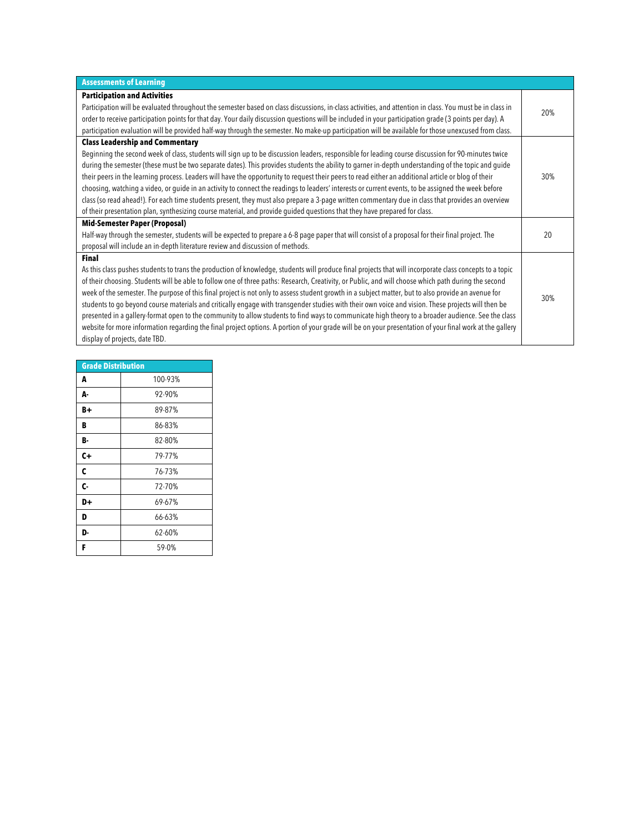| <b>Assessments of Learning</b>                                                                                                                           |     |
|----------------------------------------------------------------------------------------------------------------------------------------------------------|-----|
| <b>Participation and Activities</b>                                                                                                                      |     |
| Participation will be evaluated throughout the semester based on class discussions, in-class activities, and attention in class. You must be in class in | 20% |
| order to receive participation points for that day. Your daily discussion questions will be included in your participation grade (3 points per day). A   |     |
| participation evaluation will be provided half-way through the semester. No make-up participation will be available for those unexcused from class.      |     |
| <b>Class Leadership and Commentary</b>                                                                                                                   |     |
| Beginning the second week of class, students will sign up to be discussion leaders, responsible for leading course discussion for 90-minutes twice       |     |
| during the semester (these must be two separate dates). This provides students the ability to garner in-depth understanding of the topic and guide       |     |
| their peers in the learning process. Leaders will have the opportunity to request their peers to read either an additional article or blog of their      | 30% |
| choosing, watching a video, or guide in an activity to connect the readings to leaders' interests or current events, to be assigned the week before      |     |
| class (so read ahead!). For each time students present, they must also prepare a 3-page written commentary due in class that provides an overview        |     |
| of their presentation plan, synthesizing course material, and provide guided questions that they have prepared for class.                                |     |
| <b>Mid-Semester Paper (Proposal)</b>                                                                                                                     |     |
| Half-way through the semester, students will be expected to prepare a 6-8 page paper that will consist of a proposal for their final project. The        | 20  |
| proposal will include an in-depth literature review and discussion of methods.                                                                           |     |
| <b>Final</b>                                                                                                                                             |     |
| As this class pushes students to trans the production of knowledge, students will produce final projects that will incorporate class concepts to a topic |     |
| of their choosing. Students will be able to follow one of three paths: Research, Creativity, or Public, and will choose which path during the second     |     |
| week of the semester. The purpose of this final project is not only to assess student growth in a subject matter, but to also provide an avenue for      | 30% |
| students to go beyond course materials and critically engage with transgender studies with their own voice and vision. These projects will then be       |     |
| presented in a gallery-format open to the community to allow students to find ways to communicate high theory to a broader audience. See the class       |     |
| website for more information regarding the final project options. A portion of your grade will be on your presentation of your final work at the gallery |     |
| display of projects, date TBD.                                                                                                                           |     |

| <b>Grade Distribution</b><br>100-93%<br>A<br>92-90%<br>А-<br>89-87%<br>B+<br>B<br>86-83%<br>82-80%<br>B-<br>C+<br>79-77%<br>C<br>76-73%<br>C-<br>72-70%<br>D+<br>69-67%<br>D<br>66-63%<br>62-60%<br>D-<br>59-0%<br>F |  |  |  |
|----------------------------------------------------------------------------------------------------------------------------------------------------------------------------------------------------------------------|--|--|--|
|                                                                                                                                                                                                                      |  |  |  |
|                                                                                                                                                                                                                      |  |  |  |
|                                                                                                                                                                                                                      |  |  |  |
|                                                                                                                                                                                                                      |  |  |  |
|                                                                                                                                                                                                                      |  |  |  |
|                                                                                                                                                                                                                      |  |  |  |
|                                                                                                                                                                                                                      |  |  |  |
|                                                                                                                                                                                                                      |  |  |  |
|                                                                                                                                                                                                                      |  |  |  |
|                                                                                                                                                                                                                      |  |  |  |
|                                                                                                                                                                                                                      |  |  |  |
|                                                                                                                                                                                                                      |  |  |  |
|                                                                                                                                                                                                                      |  |  |  |